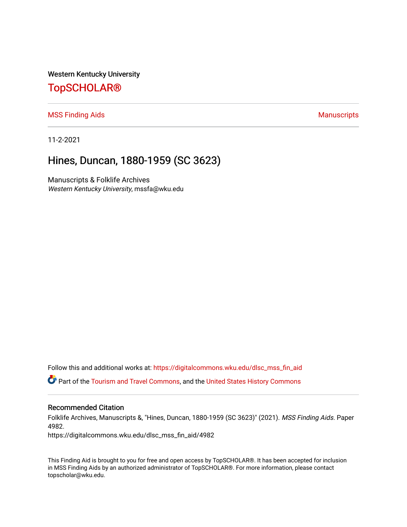Western Kentucky University

# [TopSCHOLAR®](https://digitalcommons.wku.edu/)

[MSS Finding Aids](https://digitalcommons.wku.edu/dlsc_mss_fin_aid) **Manuscripts** [Manuscripts](https://digitalcommons.wku.edu/dlsc_mss) **Manuscripts** 

11-2-2021

# Hines, Duncan, 1880-1959 (SC 3623)

Manuscripts & Folklife Archives Western Kentucky University, mssfa@wku.edu

Follow this and additional works at: [https://digitalcommons.wku.edu/dlsc\\_mss\\_fin\\_aid](https://digitalcommons.wku.edu/dlsc_mss_fin_aid?utm_source=digitalcommons.wku.edu%2Fdlsc_mss_fin_aid%2F4982&utm_medium=PDF&utm_campaign=PDFCoverPages) 

Part of the [Tourism and Travel Commons](http://network.bepress.com/hgg/discipline/1082?utm_source=digitalcommons.wku.edu%2Fdlsc_mss_fin_aid%2F4982&utm_medium=PDF&utm_campaign=PDFCoverPages), and the [United States History Commons](http://network.bepress.com/hgg/discipline/495?utm_source=digitalcommons.wku.edu%2Fdlsc_mss_fin_aid%2F4982&utm_medium=PDF&utm_campaign=PDFCoverPages) 

#### Recommended Citation

Folklife Archives, Manuscripts &, "Hines, Duncan, 1880-1959 (SC 3623)" (2021). MSS Finding Aids. Paper 4982.

https://digitalcommons.wku.edu/dlsc\_mss\_fin\_aid/4982

This Finding Aid is brought to you for free and open access by TopSCHOLAR®. It has been accepted for inclusion in MSS Finding Aids by an authorized administrator of TopSCHOLAR®. For more information, please contact topscholar@wku.edu.